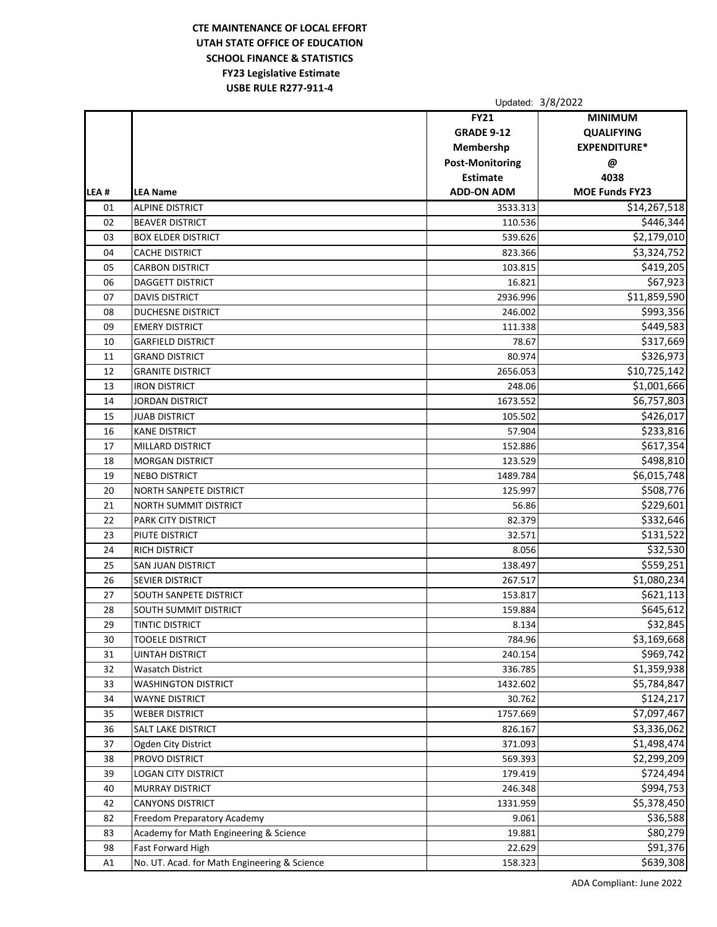## **CTE MAINTENANCE OF LOCAL EFFORT UTAH STATE OFFICE OF EDUCATION SCHOOL FINANCE & STATISTICS FY23 Legislative Estimate USBE RULE R277‐911‐4**

|      |                                              | Updated: 3/8/2022      |                       |
|------|----------------------------------------------|------------------------|-----------------------|
|      |                                              | <b>FY21</b>            | <b>MINIMUM</b>        |
|      |                                              | <b>GRADE 9-12</b>      | <b>QUALIFYING</b>     |
|      |                                              | Membershp              | <b>EXPENDITURE*</b>   |
|      |                                              | <b>Post-Monitoring</b> | @                     |
|      |                                              | <b>Estimate</b>        | 4038                  |
| LEA# | <b>LEA Name</b>                              | <b>ADD-ON ADM</b>      | <b>MOE Funds FY23</b> |
| 01   | <b>ALPINE DISTRICT</b>                       | 3533.313               | \$14,267,518          |
| 02   | <b>BEAVER DISTRICT</b>                       | 110.536                | \$446,344             |
| 03   | <b>BOX ELDER DISTRICT</b>                    | 539.626                | \$2,179,010           |
| 04   | <b>CACHE DISTRICT</b>                        | 823.366                | \$3,324,752           |
| 05   | <b>CARBON DISTRICT</b>                       | 103.815                | \$419,205             |
| 06   | DAGGETT DISTRICT                             | 16.821                 | $\overline{$}67,923$  |
| 07   | <b>DAVIS DISTRICT</b>                        | 2936.996               | \$11,859,590          |
| 08   | <b>DUCHESNE DISTRICT</b>                     | 246.002                | \$993,356             |
| 09   | <b>EMERY DISTRICT</b>                        | 111.338                | \$449,583             |
| 10   | <b>GARFIELD DISTRICT</b>                     | 78.67                  | \$317,669             |
| 11   | <b>GRAND DISTRICT</b>                        | 80.974                 | \$326,973             |
| 12   | <b>GRANITE DISTRICT</b>                      | 2656.053               | \$10,725,142          |
| 13   | <b>IRON DISTRICT</b>                         | 248.06                 | \$1,001,666           |
| 14   | <b>JORDAN DISTRICT</b>                       | 1673.552               | \$6,757,803           |
| 15   | <b>JUAB DISTRICT</b>                         | 105.502                | \$426,017             |
| 16   | <b>KANE DISTRICT</b>                         | 57.904                 | \$233,816             |
| 17   | <b>MILLARD DISTRICT</b>                      | 152.886                | \$617,354             |
| 18   | <b>MORGAN DISTRICT</b>                       | 123.529                | \$498,810             |
| 19   | <b>NEBO DISTRICT</b>                         | 1489.784               | \$6,015,748           |
| 20   | <b>NORTH SANPETE DISTRICT</b>                | 125.997                | \$508,776             |
| 21   | <b>NORTH SUMMIT DISTRICT</b>                 | 56.86                  | \$229,601             |
| 22   | PARK CITY DISTRICT                           | 82.379                 | \$332,646             |
| 23   | PIUTE DISTRICT                               | 32.571                 | \$131,522             |
| 24   | <b>RICH DISTRICT</b>                         | 8.056                  | \$32,530              |
| 25   | <b>SAN JUAN DISTRICT</b>                     | 138.497                | \$559,251             |
| 26   | <b>SEVIER DISTRICT</b>                       | 267.517                | \$1,080,234           |
| 27   | <b>SOUTH SANPETE DISTRICT</b>                | 153.817                | \$621,113             |
| 28   | <b>SOUTH SUMMIT DISTRICT</b>                 | 159.884                | \$645,612             |
| 29   | <b>TINTIC DISTRICT</b>                       | 8.134                  | \$32,845              |
| 30   | <b>TOOELE DISTRICT</b>                       | 784.96                 | \$3,169,668           |
| 31   | <b>UINTAH DISTRICT</b>                       | 240.154                | \$969,742             |
| 32   | <b>Wasatch District</b>                      | 336.785                | \$1,359,938           |
| 33   | <b>WASHINGTON DISTRICT</b>                   | 1432.602               | \$5,784,847           |
| 34   | WAYNE DISTRICT                               | 30.762                 | \$124,217             |
| 35   | <b>WEBER DISTRICT</b>                        | 1757.669               | \$7,097,467           |
| 36   | SALT LAKE DISTRICT                           | 826.167                | \$3,336,062           |
| 37   | Ogden City District                          | 371.093                | \$1,498,474           |
| 38   | PROVO DISTRICT                               | 569.393                | \$2,299,209           |
| 39   | <b>LOGAN CITY DISTRICT</b>                   | 179.419                | \$724,494             |
| 40   | MURRAY DISTRICT                              | 246.348                | \$994,753             |
| 42   | <b>CANYONS DISTRICT</b>                      | 1331.959               | \$5,378,450           |
| 82   | Freedom Preparatory Academy                  | 9.061                  | \$36,588              |
| 83   | Academy for Math Engineering & Science       | 19.881                 | \$80,279              |
| 98   | Fast Forward High                            | 22.629                 | \$91,376              |
| A1   | No. UT. Acad. for Math Engineering & Science | 158.323                | \$639,308             |
|      |                                              |                        |                       |